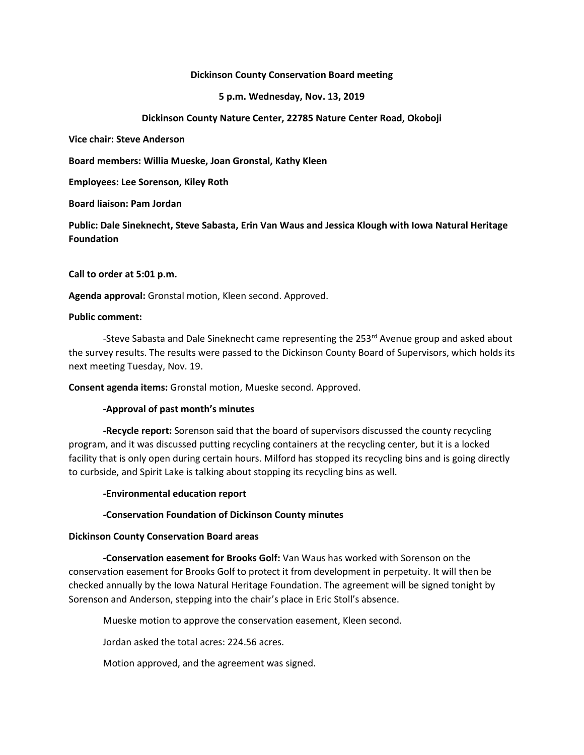#### **Dickinson County Conservation Board meeting**

#### **5 p.m. Wednesday, Nov. 13, 2019**

## **Dickinson County Nature Center, 22785 Nature Center Road, Okoboji**

**Vice chair: Steve Anderson**

**Board members: Willia Mueske, Joan Gronstal, Kathy Kleen**

**Employees: Lee Sorenson, Kiley Roth**

**Board liaison: Pam Jordan**

**Public: Dale Sineknecht, Steve Sabasta, Erin Van Waus and Jessica Klough with Iowa Natural Heritage Foundation**

**Call to order at 5:01 p.m.**

**Agenda approval:** Gronstal motion, Kleen second. Approved.

#### **Public comment:**

-Steve Sabasta and Dale Sineknecht came representing the 253<sup>rd</sup> Avenue group and asked about the survey results. The results were passed to the Dickinson County Board of Supervisors, which holds its next meeting Tuesday, Nov. 19.

**Consent agenda items:** Gronstal motion, Mueske second. Approved.

# **-Approval of past month's minutes**

**-Recycle report:** Sorenson said that the board of supervisors discussed the county recycling program, and it was discussed putting recycling containers at the recycling center, but it is a locked facility that is only open during certain hours. Milford has stopped its recycling bins and is going directly to curbside, and Spirit Lake is talking about stopping its recycling bins as well.

# **-Environmental education report**

# **-Conservation Foundation of Dickinson County minutes**

# **Dickinson County Conservation Board areas**

**-Conservation easement for Brooks Golf:** Van Waus has worked with Sorenson on the conservation easement for Brooks Golf to protect it from development in perpetuity. It will then be checked annually by the Iowa Natural Heritage Foundation. The agreement will be signed tonight by Sorenson and Anderson, stepping into the chair's place in Eric Stoll's absence.

Mueske motion to approve the conservation easement, Kleen second.

Jordan asked the total acres: 224.56 acres.

Motion approved, and the agreement was signed.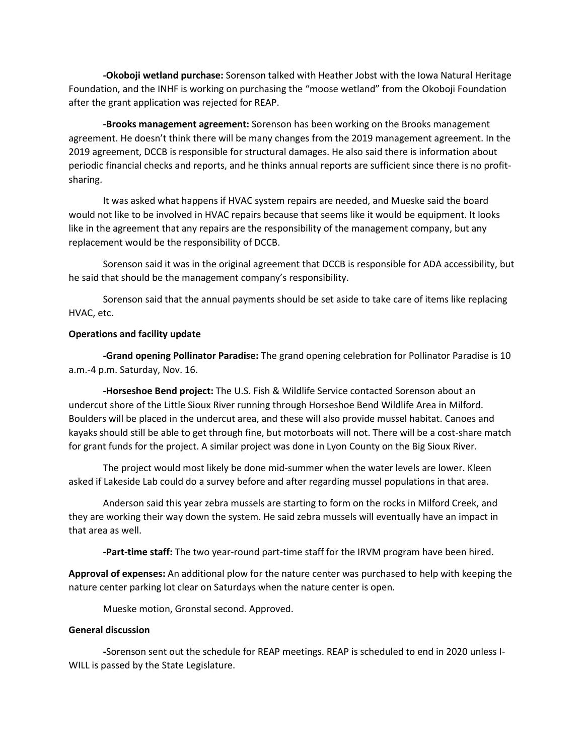**-Okoboji wetland purchase:** Sorenson talked with Heather Jobst with the Iowa Natural Heritage Foundation, and the INHF is working on purchasing the "moose wetland" from the Okoboji Foundation after the grant application was rejected for REAP.

**-Brooks management agreement:** Sorenson has been working on the Brooks management agreement. He doesn't think there will be many changes from the 2019 management agreement. In the 2019 agreement, DCCB is responsible for structural damages. He also said there is information about periodic financial checks and reports, and he thinks annual reports are sufficient since there is no profitsharing.

It was asked what happens if HVAC system repairs are needed, and Mueske said the board would not like to be involved in HVAC repairs because that seems like it would be equipment. It looks like in the agreement that any repairs are the responsibility of the management company, but any replacement would be the responsibility of DCCB.

Sorenson said it was in the original agreement that DCCB is responsible for ADA accessibility, but he said that should be the management company's responsibility.

Sorenson said that the annual payments should be set aside to take care of items like replacing HVAC, etc.

#### **Operations and facility update**

**-Grand opening Pollinator Paradise:** The grand opening celebration for Pollinator Paradise is 10 a.m.-4 p.m. Saturday, Nov. 16.

**-Horseshoe Bend project:** The U.S. Fish & Wildlife Service contacted Sorenson about an undercut shore of the Little Sioux River running through Horseshoe Bend Wildlife Area in Milford. Boulders will be placed in the undercut area, and these will also provide mussel habitat. Canoes and kayaks should still be able to get through fine, but motorboats will not. There will be a cost-share match for grant funds for the project. A similar project was done in Lyon County on the Big Sioux River.

The project would most likely be done mid-summer when the water levels are lower. Kleen asked if Lakeside Lab could do a survey before and after regarding mussel populations in that area.

Anderson said this year zebra mussels are starting to form on the rocks in Milford Creek, and they are working their way down the system. He said zebra mussels will eventually have an impact in that area as well.

**-Part-time staff:** The two year-round part-time staff for the IRVM program have been hired.

**Approval of expenses:** An additional plow for the nature center was purchased to help with keeping the nature center parking lot clear on Saturdays when the nature center is open.

Mueske motion, Gronstal second. Approved.

## **General discussion**

**-**Sorenson sent out the schedule for REAP meetings. REAP is scheduled to end in 2020 unless I-WILL is passed by the State Legislature.